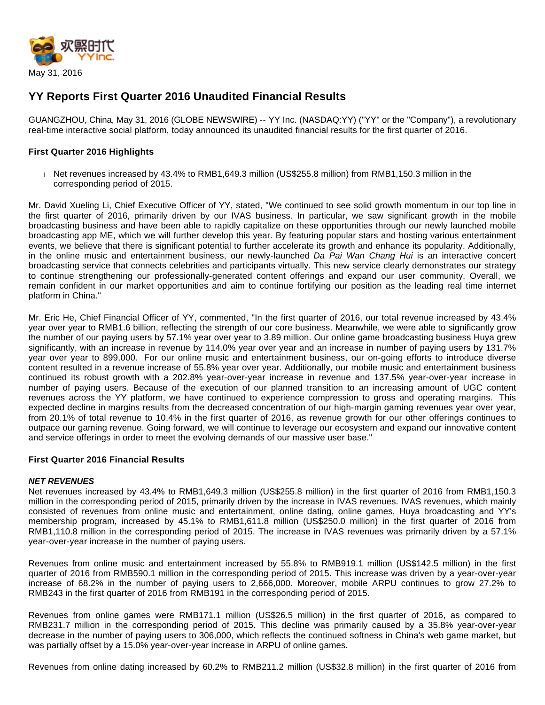

# **YY Reports First Quarter 2016 Unaudited Financial Results**

GUANGZHOU, China, May 31, 2016 (GLOBE NEWSWIRE) -- YY Inc. (NASDAQ:YY) ("YY" or the "Company"), a revolutionary real-time interactive social platform, today announced its unaudited financial results for the first quarter of 2016.

# **First Quarter 2016 Highlights**

 Net revenues increased by 43.4% to RMB1,649.3 million (US\$255.8 million) from RMB1,150.3 million in the corresponding period of 2015.

Mr. David Xueling Li, Chief Executive Officer of YY, stated, "We continued to see solid growth momentum in our top line in the first quarter of 2016, primarily driven by our IVAS business. In particular, we saw significant growth in the mobile broadcasting business and have been able to rapidly capitalize on these opportunities through our newly launched mobile broadcasting app ME, which we will further develop this year. By featuring popular stars and hosting various entertainment events, we believe that there is significant potential to further accelerate its growth and enhance its popularity. Additionally, in the online music and entertainment business, our newly-launched Da Pai Wan Chang Hui is an interactive concert broadcasting service that connects celebrities and participants virtually. This new service clearly demonstrates our strategy to continue strengthening our professionally-generated content offerings and expand our user community. Overall, we remain confident in our market opportunities and aim to continue fortifying our position as the leading real time internet platform in China."

Mr. Eric He, Chief Financial Officer of YY, commented, "In the first quarter of 2016, our total revenue increased by 43.4% year over year to RMB1.6 billion, reflecting the strength of our core business. Meanwhile, we were able to significantly grow the number of our paying users by 57.1% year over year to 3.89 million. Our online game broadcasting business Huya grew significantly, with an increase in revenue by 114.0% year over year and an increase in number of paying users by 131.7% year over year to 899,000. For our online music and entertainment business, our on-going efforts to introduce diverse content resulted in a revenue increase of 55.8% year over year. Additionally, our mobile music and entertainment business continued its robust growth with a 202.8% year-over-year increase in revenue and 137.5% year-over-year increase in number of paying users. Because of the execution of our planned transition to an increasing amount of UGC content revenues across the YY platform, we have continued to experience compression to gross and operating margins. This expected decline in margins results from the decreased concentration of our high-margin gaming revenues year over year, from 20.1% of total revenue to 10.4% in the first quarter of 2016, as revenue growth for our other offerings continues to outpace our gaming revenue. Going forward, we will continue to leverage our ecosystem and expand our innovative content and service offerings in order to meet the evolving demands of our massive user base."

# **First Quarter 2016 Financial Results**

# **NET REVENUES**

Net revenues increased by 43.4% to RMB1,649.3 million (US\$255.8 million) in the first quarter of 2016 from RMB1,150.3 million in the corresponding period of 2015, primarily driven by the increase in IVAS revenues. IVAS revenues, which mainly consisted of revenues from online music and entertainment, online dating, online games, Huya broadcasting and YY's membership program, increased by 45.1% to RMB1,611.8 million (US\$250.0 million) in the first quarter of 2016 from RMB1,110.8 million in the corresponding period of 2015. The increase in IVAS revenues was primarily driven by a 57.1% year-over-year increase in the number of paying users.

Revenues from online music and entertainment increased by 55.8% to RMB919.1 million (US\$142.5 million) in the first quarter of 2016 from RMB590.1 million in the corresponding period of 2015. This increase was driven by a year-over-year increase of 68.2% in the number of paying users to 2,666,000. Moreover, mobile ARPU continues to grow 27.2% to RMB243 in the first quarter of 2016 from RMB191 in the corresponding period of 2015.

Revenues from online games were RMB171.1 million (US\$26.5 million) in the first quarter of 2016, as compared to RMB231.7 million in the corresponding period of 2015. This decline was primarily caused by a 35.8% year-over-year decrease in the number of paying users to 306,000, which reflects the continued softness in China's web game market, but was partially offset by a 15.0% year-over-year increase in ARPU of online games.

Revenues from online dating increased by 60.2% to RMB211.2 million (US\$32.8 million) in the first quarter of 2016 from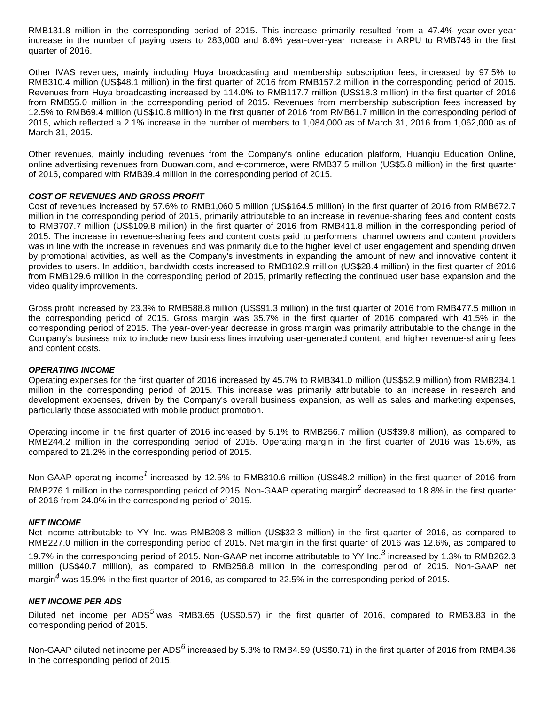RMB131.8 million in the corresponding period of 2015. This increase primarily resulted from a 47.4% year-over-year increase in the number of paying users to 283,000 and 8.6% year-over-year increase in ARPU to RMB746 in the first quarter of 2016.

Other IVAS revenues, mainly including Huya broadcasting and membership subscription fees, increased by 97.5% to RMB310.4 million (US\$48.1 million) in the first quarter of 2016 from RMB157.2 million in the corresponding period of 2015. Revenues from Huya broadcasting increased by 114.0% to RMB117.7 million (US\$18.3 million) in the first quarter of 2016 from RMB55.0 million in the corresponding period of 2015. Revenues from membership subscription fees increased by 12.5% to RMB69.4 million (US\$10.8 million) in the first quarter of 2016 from RMB61.7 million in the corresponding period of 2015, which reflected a 2.1% increase in the number of members to 1,084,000 as of March 31, 2016 from 1,062,000 as of March 31, 2015.

Other revenues, mainly including revenues from the Company's online education platform, Huanqiu Education Online, online advertising revenues from Duowan.com, and e-commerce, were RMB37.5 million (US\$5.8 million) in the first quarter of 2016, compared with RMB39.4 million in the corresponding period of 2015.

# **COST OF REVENUES AND GROSS PROFIT**

Cost of revenues increased by 57.6% to RMB1,060.5 million (US\$164.5 million) in the first quarter of 2016 from RMB672.7 million in the corresponding period of 2015, primarily attributable to an increase in revenue-sharing fees and content costs to RMB707.7 million (US\$109.8 million) in the first quarter of 2016 from RMB411.8 million in the corresponding period of 2015. The increase in revenue-sharing fees and content costs paid to performers, channel owners and content providers was in line with the increase in revenues and was primarily due to the higher level of user engagement and spending driven by promotional activities, as well as the Company's investments in expanding the amount of new and innovative content it provides to users. In addition, bandwidth costs increased to RMB182.9 million (US\$28.4 million) in the first quarter of 2016 from RMB129.6 million in the corresponding period of 2015, primarily reflecting the continued user base expansion and the video quality improvements.

Gross profit increased by 23.3% to RMB588.8 million (US\$91.3 million) in the first quarter of 2016 from RMB477.5 million in the corresponding period of 2015. Gross margin was 35.7% in the first quarter of 2016 compared with 41.5% in the corresponding period of 2015. The year-over-year decrease in gross margin was primarily attributable to the change in the Company's business mix to include new business lines involving user-generated content, and higher revenue-sharing fees and content costs.

### **OPERATING INCOME**

Operating expenses for the first quarter of 2016 increased by 45.7% to RMB341.0 million (US\$52.9 million) from RMB234.1 million in the corresponding period of 2015. This increase was primarily attributable to an increase in research and development expenses, driven by the Company's overall business expansion, as well as sales and marketing expenses, particularly those associated with mobile product promotion.

Operating income in the first quarter of 2016 increased by 5.1% to RMB256.7 million (US\$39.8 million), as compared to RMB244.2 million in the corresponding period of 2015. Operating margin in the first quarter of 2016 was 15.6%, as compared to 21.2% in the corresponding period of 2015.

Non-GAAP operating income<sup>1</sup> increased by 12.5% to RMB310.6 million (US\$48.2 million) in the first quarter of 2016 from RMB276.1 million in the corresponding period of 2015. Non-GAAP operating margin<sup>2</sup> decreased to 18.8% in the first quarter of 2016 from 24.0% in the corresponding period of 2015.

### **NET INCOME**

Net income attributable to YY Inc. was RMB208.3 million (US\$32.3 million) in the first quarter of 2016, as compared to RMB227.0 million in the corresponding period of 2015. Net margin in the first quarter of 2016 was 12.6%, as compared to 19.7% in the corresponding period of 2015. Non-GAAP net income attributable to YY Inc.<sup>3</sup> increased by 1.3% to RMB262.3 million (US\$40.7 million), as compared to RMB258.8 million in the corresponding period of 2015. Non-GAAP net margin<sup>4</sup> was 15.9% in the first quarter of 2016, as compared to 22.5% in the corresponding period of 2015.

# **NET INCOME PER ADS**

Diluted net income per ADS<sup>5</sup> was RMB3.65 (US\$0.57) in the first quarter of 2016, compared to RMB3.83 in the corresponding period of 2015.

Non-GAAP diluted net income per ADS $^6$  increased by 5.3% to RMB4.59 (US\$0.71) in the first quarter of 2016 from RMB4.36 in the corresponding period of 2015.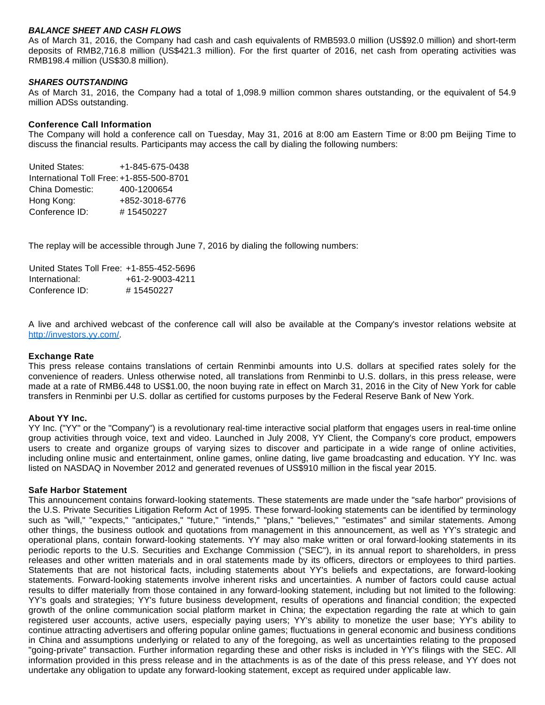# **BALANCE SHEET AND CASH FLOWS**

As of March 31, 2016, the Company had cash and cash equivalents of RMB593.0 million (US\$92.0 million) and short-term deposits of RMB2,716.8 million (US\$421.3 million). For the first quarter of 2016, net cash from operating activities was RMB198.4 million (US\$30.8 million).

# **SHARES OUTSTANDING**

As of March 31, 2016, the Company had a total of 1,098.9 million common shares outstanding, or the equivalent of 54.9 million ADSs outstanding.

# **Conference Call Information**

The Company will hold a conference call on Tuesday, May 31, 2016 at 8:00 am Eastern Time or 8:00 pm Beijing Time to discuss the financial results. Participants may access the call by dialing the following numbers:

| United States:                           | +1-845-675-0438 |
|------------------------------------------|-----------------|
| International Toll Free: +1-855-500-8701 |                 |
| China Domestic:                          | 400-1200654     |
| Hong Kong:                               | +852-3018-6776  |
| Conference ID:                           | #15450227       |

The replay will be accessible through June 7, 2016 by dialing the following numbers:

United States Toll Free: +1-855-452-5696 International: +61-2-9003-4211 Conference ID: # 15450227

A live and archived webcast of the conference call will also be available at the Company's investor relations website at [http://investors.yy.com/.](http://www.globenewswire.com/Tracker?data=sPu9mIGZzkPdAQet57sRyRL2TreGouBs-Lmru-3d-rNjYjTO6XyFTady_CUi_2nnh9nlie1FjAU5WH3155RG_akgxz0vzK8kprR2kiHXzos=)

### **Exchange Rate**

This press release contains translations of certain Renminbi amounts into U.S. dollars at specified rates solely for the convenience of readers. Unless otherwise noted, all translations from Renminbi to U.S. dollars, in this press release, were made at a rate of RMB6.448 to US\$1.00, the noon buying rate in effect on March 31, 2016 in the City of New York for cable transfers in Renminbi per U.S. dollar as certified for customs purposes by the Federal Reserve Bank of New York.

# **About YY Inc.**

YY Inc. ("YY" or the "Company") is a revolutionary real-time interactive social platform that engages users in real-time online group activities through voice, text and video. Launched in July 2008, YY Client, the Company's core product, empowers users to create and organize groups of varying sizes to discover and participate in a wide range of online activities, including online music and entertainment, online games, online dating, live game broadcasting and education. YY Inc. was listed on NASDAQ in November 2012 and generated revenues of US\$910 million in the fiscal year 2015.

### **Safe Harbor Statement**

This announcement contains forward-looking statements. These statements are made under the "safe harbor" provisions of the U.S. Private Securities Litigation Reform Act of 1995. These forward-looking statements can be identified by terminology such as "will," "expects," "anticipates," "future," "intends," "plans," "believes," "estimates" and similar statements. Among other things, the business outlook and quotations from management in this announcement, as well as YY's strategic and operational plans, contain forward-looking statements. YY may also make written or oral forward-looking statements in its periodic reports to the U.S. Securities and Exchange Commission ("SEC"), in its annual report to shareholders, in press releases and other written materials and in oral statements made by its officers, directors or employees to third parties. Statements that are not historical facts, including statements about YY's beliefs and expectations, are forward-looking statements. Forward-looking statements involve inherent risks and uncertainties. A number of factors could cause actual results to differ materially from those contained in any forward-looking statement, including but not limited to the following: YY's goals and strategies; YY's future business development, results of operations and financial condition; the expected growth of the online communication social platform market in China; the expectation regarding the rate at which to gain registered user accounts, active users, especially paying users; YY's ability to monetize the user base; YY's ability to continue attracting advertisers and offering popular online games; fluctuations in general economic and business conditions in China and assumptions underlying or related to any of the foregoing, as well as uncertainties relating to the proposed "going-private" transaction. Further information regarding these and other risks is included in YY's filings with the SEC. All information provided in this press release and in the attachments is as of the date of this press release, and YY does not undertake any obligation to update any forward-looking statement, except as required under applicable law.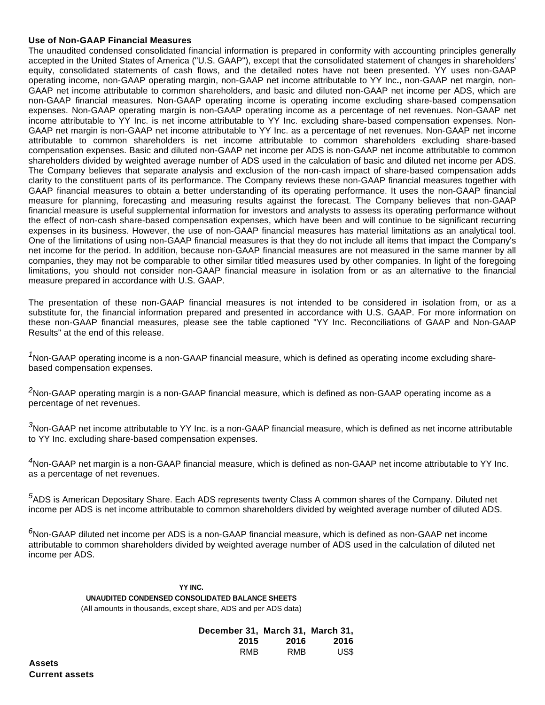# **Use of Non-GAAP Financial Measures**

The unaudited condensed consolidated financial information is prepared in conformity with accounting principles generally accepted in the United States of America ("U.S. GAAP"), except that the consolidated statement of changes in shareholders' equity, consolidated statements of cash flows, and the detailed notes have not been presented. YY uses non-GAAP operating income, non-GAAP operating margin, non-GAAP net income attributable to YY Inc**.**, non-GAAP net margin, non-GAAP net income attributable to common shareholders, and basic and diluted non-GAAP net income per ADS, which are non-GAAP financial measures. Non-GAAP operating income is operating income excluding share-based compensation expenses. Non-GAAP operating margin is non-GAAP operating income as a percentage of net revenues. Non-GAAP net income attributable to YY Inc. is net income attributable to YY Inc. excluding share-based compensation expenses. Non-GAAP net margin is non-GAAP net income attributable to YY Inc. as a percentage of net revenues. Non-GAAP net income attributable to common shareholders is net income attributable to common shareholders excluding share-based compensation expenses. Basic and diluted non-GAAP net income per ADS is non-GAAP net income attributable to common shareholders divided by weighted average number of ADS used in the calculation of basic and diluted net income per ADS. The Company believes that separate analysis and exclusion of the non-cash impact of share-based compensation adds clarity to the constituent parts of its performance. The Company reviews these non-GAAP financial measures together with GAAP financial measures to obtain a better understanding of its operating performance. It uses the non-GAAP financial measure for planning, forecasting and measuring results against the forecast. The Company believes that non-GAAP financial measure is useful supplemental information for investors and analysts to assess its operating performance without the effect of non-cash share-based compensation expenses, which have been and will continue to be significant recurring expenses in its business. However, the use of non-GAAP financial measures has material limitations as an analytical tool. One of the limitations of using non-GAAP financial measures is that they do not include all items that impact the Company's net income for the period. In addition, because non-GAAP financial measures are not measured in the same manner by all companies, they may not be comparable to other similar titled measures used by other companies. In light of the foregoing limitations, you should not consider non-GAAP financial measure in isolation from or as an alternative to the financial measure prepared in accordance with U.S. GAAP.

The presentation of these non-GAAP financial measures is not intended to be considered in isolation from, or as a substitute for, the financial information prepared and presented in accordance with U.S. GAAP. For more information on these non-GAAP financial measures, please see the table captioned "YY Inc. Reconciliations of GAAP and Non-GAAP Results" at the end of this release.

 $1$ Non-GAAP operating income is a non-GAAP financial measure, which is defined as operating income excluding sharebased compensation expenses.

<sup>2</sup>Non-GAAP operating margin is a non-GAAP financial measure, which is defined as non-GAAP operating income as a percentage of net revenues.

 $3$ Non-GAAP net income attributable to YY Inc. is a non-GAAP financial measure, which is defined as net income attributable to YY Inc. excluding share-based compensation expenses.

<sup>4</sup>Non-GAAP net margin is a non-GAAP financial measure, which is defined as non-GAAP net income attributable to YY Inc. as a percentage of net revenues.

 $5$ ADS is American Depositary Share. Each ADS represents twenty Class A common shares of the Company. Diluted net income per ADS is net income attributable to common shareholders divided by weighted average number of diluted ADS.

 $6$ Non-GAAP diluted net income per ADS is a non-GAAP financial measure, which is defined as non-GAAP net income attributable to common shareholders divided by weighted average number of ADS used in the calculation of diluted net income per ADS.

> **YY INC. UNAUDITED CONDENSED CONSOLIDATED BALANCE SHEETS** (All amounts in thousands, except share, ADS and per ADS data)

| December 31、March 31、March 31、 |      |      |
|--------------------------------|------|------|
| 2015                           | 2016 | 2016 |
| RMB                            | RMB  | US\$ |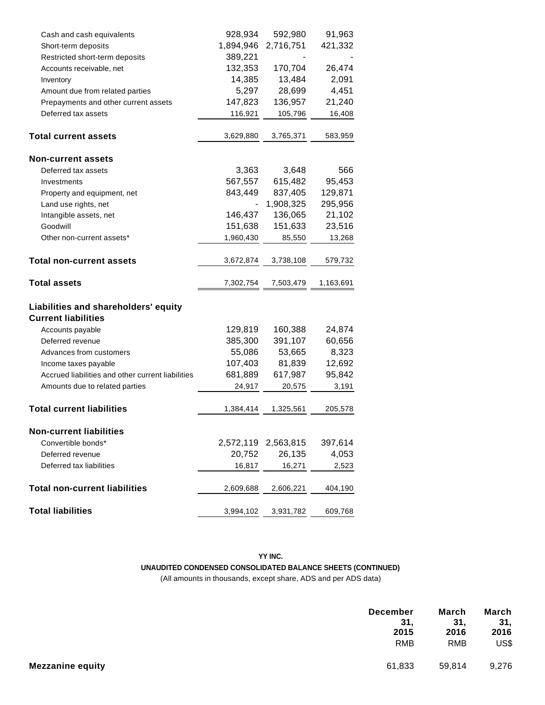| Cash and cash equivalents                         | 928,934   | 592,980             | 91,963    |
|---------------------------------------------------|-----------|---------------------|-----------|
| Short-term deposits                               | 1,894,946 | 2,716,751           | 421,332   |
| Restricted short-term deposits                    | 389,221   |                     |           |
| Accounts receivable, net                          | 132,353   | 170,704             | 26,474    |
| Inventory                                         | 14,385    | 13,484              | 2,091     |
| Amount due from related parties                   | 5,297     | 28,699              | 4,451     |
| Prepayments and other current assets              | 147,823   | 136,957             | 21,240    |
| Deferred tax assets                               | 116,921   | 105,796             | 16,408    |
| <b>Total current assets</b>                       | 3,629,880 | 3,765,371           | 583,959   |
| <b>Non-current assets</b>                         |           |                     |           |
| Deferred tax assets                               | 3,363     | 3,648               | 566       |
| Investments                                       | 567,557   | 615,482             | 95,453    |
| Property and equipment, net                       | 843,449   | 837,405             | 129,871   |
| Land use rights, net                              |           | 1,908,325           | 295,956   |
| Intangible assets, net                            | 146,437   | 136,065             | 21,102    |
| Goodwill                                          | 151,638   | 151,633             | 23,516    |
| Other non-current assets*                         | 1,960,430 | 85,550              | 13,268    |
| <b>Total non-current assets</b>                   | 3,672,874 | 3,738,108           | 579,732   |
| <b>Total assets</b>                               | 7,302,754 | 7,503,479           | 1,163,691 |
| Liabilities and shareholders' equity              |           |                     |           |
| <b>Current liabilities</b>                        |           |                     |           |
| Accounts payable                                  | 129,819   | 160,388             | 24,874    |
| Deferred revenue                                  | 385,300   | 391,107             | 60,656    |
| Advances from customers                           | 55,086    | 53,665              | 8,323     |
| Income taxes payable                              | 107,403   | 81,839              | 12,692    |
| Accrued liabilities and other current liabilities | 681,889   | 617,987             | 95,842    |
| Amounts due to related parties                    | 24,917    | 20,575              | 3,191     |
| <b>Total current liabilities</b>                  | 1,384,414 | 1,325,561           | 205,578   |
| <b>Non-current liabilities</b>                    |           |                     |           |
| Convertible bonds*                                |           | 2,572,119 2,563,815 | 397,614   |
| Deferred revenue                                  | 20,752    | 26,135              | 4,053     |
| Deferred tax liabilities                          | 16,817    | 16,271              | 2,523     |
| <b>Total non-current liabilities</b>              | 2,609,688 | 2,606,221           | 404,190   |
| <b>Total liabilities</b>                          | 3,994,102 | 3,931,782           | 609,768   |

# **YY INC. UNAUDITED CONDENSED CONSOLIDATED BALANCE SHEETS (CONTINUED)**

|                         | <b>December</b> | March      | March |
|-------------------------|-----------------|------------|-------|
|                         | 31.             | 31.        | 31,   |
|                         | 2015            | 2016       | 2016  |
|                         | <b>RMB</b>      | <b>RMB</b> | US\$  |
| <b>Mezzanine equity</b> | 61,833          | 59.814     | 9,276 |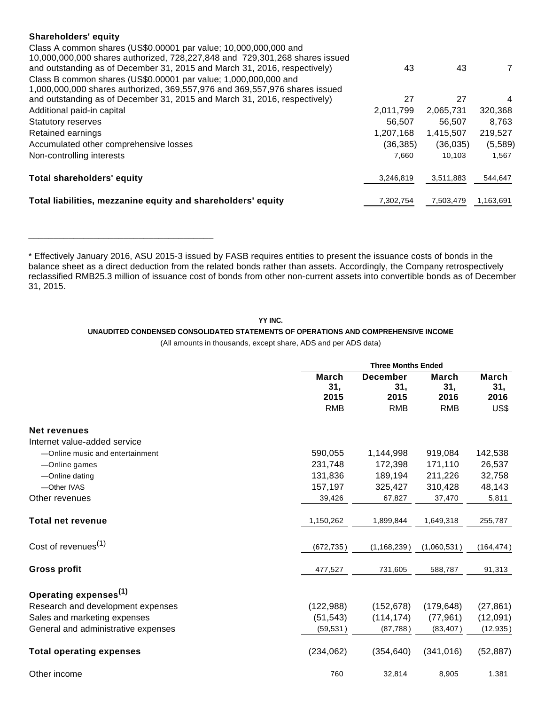# **Shareholders' equity**

\_\_\_\_\_\_\_\_\_\_\_\_\_\_\_\_\_\_\_\_\_\_\_\_\_\_\_\_\_\_\_\_\_\_\_\_\_

| Total liabilities, mezzanine equity and shareholders' equity                                                                                                                                                                 | 7,302,754 | 7,503,479 | 1,163,691 |
|------------------------------------------------------------------------------------------------------------------------------------------------------------------------------------------------------------------------------|-----------|-----------|-----------|
| <b>Total shareholders' equity</b>                                                                                                                                                                                            | 3,246,819 | 3,511,883 | 544,647   |
| Non-controlling interests                                                                                                                                                                                                    | 7,660     | 10,103    | 1,567     |
| Accumulated other comprehensive losses                                                                                                                                                                                       | (36,385)  | (36, 035) | (5,589)   |
| Retained earnings                                                                                                                                                                                                            | 1,207,168 | 1,415,507 | 219,527   |
| <b>Statutory reserves</b>                                                                                                                                                                                                    | 56.507    | 56,507    | 8.763     |
| Additional paid-in capital                                                                                                                                                                                                   | 2,011,799 | 2,065,731 | 320,368   |
| Class B common shares (US\$0.00001 par value; 1,000,000,000 and<br>1,000,000,000 shares authorized, 369,557,976 and 369,557,976 shares issued<br>and outstanding as of December 31, 2015 and March 31, 2016, respectively)   | 27        | 27        | 4         |
| Class A common shares (US\$0.00001 par value; 10,000,000,000 and<br>10,000,000,000 shares authorized, 728,227,848 and 729,301,268 shares issued<br>and outstanding as of December 31, 2015 and March 31, 2016, respectively) | 43        | 43        |           |

\* Effectively January 2016, ASU 2015-3 issued by FASB requires entities to present the issuance costs of bonds in the balance sheet as a direct deduction from the related bonds rather than assets. Accordingly, the Company retrospectively reclassified RMB25.3 million of issuance cost of bonds from other non-current assets into convertible bonds as of December 31, 2015.

#### **YY INC.**

#### **UNAUDITED CONDENSED CONSOLIDATED STATEMENTS OF OPERATIONS AND COMPREHENSIVE INCOME**

|                                     |                                           | <b>Three Months Ended</b>                    |                                    |                              |  |  |
|-------------------------------------|-------------------------------------------|----------------------------------------------|------------------------------------|------------------------------|--|--|
|                                     | <b>March</b><br>31,<br>2015<br><b>RMB</b> | <b>December</b><br>31,<br>2015<br><b>RMB</b> | March<br>31,<br>2016<br><b>RMB</b> | March<br>31,<br>2016<br>US\$ |  |  |
| <b>Net revenues</b>                 |                                           |                                              |                                    |                              |  |  |
| Internet value-added service        |                                           |                                              |                                    |                              |  |  |
| -Online music and entertainment     | 590,055                                   | 1,144,998                                    | 919,084                            | 142,538                      |  |  |
| -Online games                       | 231,748                                   | 172,398                                      | 171,110                            | 26,537                       |  |  |
| -Online dating                      | 131,836                                   | 189,194                                      | 211,226                            | 32,758                       |  |  |
| -Other IVAS                         | 157,197                                   | 325,427                                      | 310,428                            | 48,143                       |  |  |
| Other revenues                      | 39,426                                    | 67,827                                       | 37,470                             | 5,811                        |  |  |
| <b>Total net revenue</b>            | 1,150,262                                 | 1,899,844                                    | 1,649,318                          | 255,787                      |  |  |
| Cost of revenues <sup>(1)</sup>     | (672, 735)                                | (1, 168, 239)                                | (1,060,531)                        | (164, 474)                   |  |  |
| <b>Gross profit</b>                 | 477,527                                   | 731,605                                      | 588,787                            | 91,313                       |  |  |
| Operating expenses <sup>(1)</sup>   |                                           |                                              |                                    |                              |  |  |
| Research and development expenses   | (122, 988)                                | (152, 678)                                   | (179, 648)                         | (27, 861)                    |  |  |
| Sales and marketing expenses        | (51, 543)                                 | (114, 174)                                   | (77, 961)                          | (12,091)                     |  |  |
| General and administrative expenses | (59, 531)                                 | (87, 788)                                    | (83, 407)                          | (12, 935)                    |  |  |
| <b>Total operating expenses</b>     | (234, 062)                                | (354, 640)                                   | (341, 016)                         | (52, 887)                    |  |  |
| Other income                        | 760                                       | 32,814                                       | 8,905                              | 1,381                        |  |  |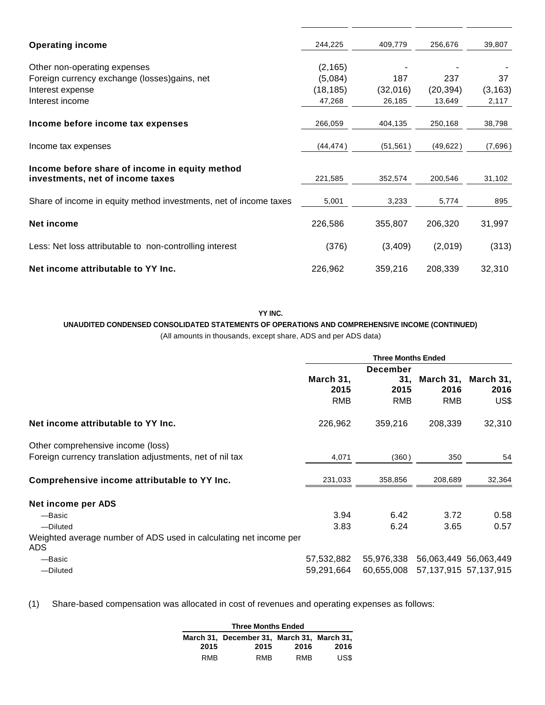| <b>Operating income</b>                                           | 244,225   | 409,779   | 256,676   | 39,807   |
|-------------------------------------------------------------------|-----------|-----------|-----------|----------|
|                                                                   |           |           |           |          |
| Other non-operating expenses                                      | (2, 165)  |           |           |          |
| Foreign currency exchange (losses) gains, net                     | (5,084)   | 187       | 237       | 37       |
| Interest expense                                                  | (18, 185) | (32,016)  | (20, 394) | (3, 163) |
| Interest income                                                   | 47,268    | 26,185    | 13,649    | 2,117    |
|                                                                   |           |           |           |          |
| Income before income tax expenses                                 | 266,059   | 404,135   | 250,168   | 38,798   |
| Income tax expenses                                               | (44, 474) | (51, 561) | (49, 622) | (7,696)  |
|                                                                   |           |           |           |          |
| Income before share of income in equity method                    |           |           |           |          |
| investments, net of income taxes                                  | 221,585   | 352,574   | 200,546   | 31,102   |
|                                                                   |           |           |           |          |
| Share of income in equity method investments, net of income taxes | 5,001     | 3,233     | 5,774     | 895      |
| <b>Net income</b>                                                 | 226,586   | 355,807   | 206,320   | 31,997   |
| Less: Net loss attributable to non-controlling interest           | (376)     | (3,409)   | (2,019)   | (313)    |
| Net income attributable to YY Inc.                                | 226,962   | 359,216   | 208,339   | 32,310   |
|                                                                   |           |           |           |          |

# **YY INC.**

# **UNAUDITED CONDENSED CONSOLIDATED STATEMENTS OF OPERATIONS AND COMPREHENSIVE INCOME (CONTINUED)**

(All amounts in thousands, except share, ADS and per ADS data)

|                                                                                 | <b>Three Months Ended</b> |             |            |                             |
|---------------------------------------------------------------------------------|---------------------------|-------------|------------|-----------------------------|
|                                                                                 | <b>December</b>           |             |            |                             |
|                                                                                 | March 31,<br>2015         | 31.<br>2015 | 2016       | March 31, March 31,<br>2016 |
|                                                                                 | <b>RMB</b>                | <b>RMB</b>  | <b>RMB</b> | US\$                        |
| Net income attributable to YY Inc.                                              | 226,962                   | 359,216     | 208,339    | 32,310                      |
| Other comprehensive income (loss)                                               |                           |             |            |                             |
| Foreign currency translation adjustments, net of nil tax                        | 4,071                     | (360)       | 350        | 54                          |
| Comprehensive income attributable to YY Inc.                                    | 231,033                   | 358,856     | 208,689    | 32,364                      |
| Net income per ADS                                                              |                           |             |            |                             |
| -Basic                                                                          | 3.94                      | 6.42        | 3.72       | 0.58                        |
| -Diluted                                                                        | 3.83                      | 6.24        | 3.65       | 0.57                        |
| Weighted average number of ADS used in calculating net income per<br><b>ADS</b> |                           |             |            |                             |
| -Basic                                                                          | 57,532,882                | 55,976,338  |            | 56,063,449 56,063,449       |
| -Diluted                                                                        | 59,291,664                | 60,655,008  |            | 57,137,915 57,137,915       |

(1) Share-based compensation was allocated in cost of revenues and operating expenses as follows:

| <b>Three Months Ended</b> |                                            |      |      |  |  |  |  |
|---------------------------|--------------------------------------------|------|------|--|--|--|--|
|                           | March 31, December 31, March 31, March 31, |      |      |  |  |  |  |
| 2015                      | 2015                                       | 2016 | 2016 |  |  |  |  |
| RMB                       | <b>RMB</b>                                 | RMB  | US\$ |  |  |  |  |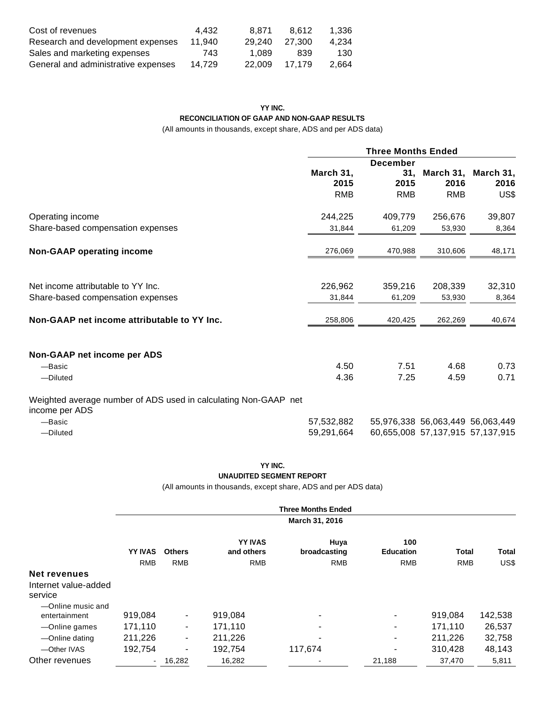| Cost of revenues                    | 4.432  | 8.871  | 8.612  | 1.336 |
|-------------------------------------|--------|--------|--------|-------|
| Research and development expenses   | 11.940 | 29.240 | 27.300 | 4.234 |
| Sales and marketing expenses        | 743    | 1.089  | 839    | 130   |
| General and administrative expenses | 14.729 | 22.009 | 17.179 | 2.664 |

# **YY INC. RECONCILIATION OF GAAP AND NON-GAAP RESULTS**

(All amounts in thousands, except share, ADS and per ADS data)

|                                                                                   | <b>Three Months Ended</b> |                 |                   |                                  |
|-----------------------------------------------------------------------------------|---------------------------|-----------------|-------------------|----------------------------------|
|                                                                                   |                           | <b>December</b> |                   |                                  |
|                                                                                   | March 31,<br>2015         | 31,<br>2015     | March 31,<br>2016 | March 31,<br>2016                |
|                                                                                   | <b>RMB</b>                | <b>RMB</b>      | <b>RMB</b>        | US\$                             |
| Operating income                                                                  | 244,225                   | 409.779         | 256,676           | 39,807                           |
| Share-based compensation expenses                                                 | 31,844                    | 61,209          | 53,930            | 8,364                            |
| <b>Non-GAAP operating income</b>                                                  | 276,069                   | 470,988         | 310,606           | 48,171                           |
|                                                                                   |                           |                 |                   |                                  |
| Net income attributable to YY Inc.                                                | 226,962                   | 359,216         | 208,339           | 32,310                           |
| Share-based compensation expenses                                                 | 31,844                    | 61,209          | 53,930            | 8,364                            |
| Non-GAAP net income attributable to YY Inc.                                       | 258,806                   | 420,425         | 262,269           | 40,674                           |
| Non-GAAP net income per ADS                                                       |                           |                 |                   |                                  |
| -Basic                                                                            | 4.50                      | 7.51            | 4.68              | 0.73                             |
| -Diluted                                                                          | 4.36                      | 7.25            | 4.59              | 0.71                             |
| Weighted average number of ADS used in calculating Non-GAAP net<br>income per ADS |                           |                 |                   |                                  |
| -Basic                                                                            | 57,532,882                |                 |                   | 55,976,338 56,063,449 56,063,449 |
| -Diluted                                                                          | 59,291,664                |                 |                   | 60,655,008 57,137,915 57,137,915 |

**YY INC.**

## **UNAUDITED SEGMENT REPORT**

|                                                        |                |                |                              | <b>Three Months Ended</b> |                         |            |              |  |
|--------------------------------------------------------|----------------|----------------|------------------------------|---------------------------|-------------------------|------------|--------------|--|
|                                                        |                | March 31, 2016 |                              |                           |                         |            |              |  |
|                                                        | <b>YY IVAS</b> | <b>Others</b>  | <b>YY IVAS</b><br>and others | Huya<br>broadcasting      | 100<br><b>Education</b> | Total      | <b>Total</b> |  |
|                                                        | <b>RMB</b>     | <b>RMB</b>     | <b>RMB</b>                   | <b>RMB</b>                | <b>RMB</b>              | <b>RMB</b> | US\$         |  |
| <b>Net revenues</b><br>Internet value-added<br>service |                |                |                              |                           |                         |            |              |  |
| -Online music and<br>entertainment                     | 919,084        | ٠.             | 919,084                      | ۰                         | ۰                       | 919,084    | 142,538      |  |
| -Online games                                          | 171,110        | ۰.             | 171,110                      | ۰                         | ۰                       | 171,110    | 26,537       |  |
| -Online dating                                         | 211,226        | ۰              | 211,226                      | -                         | ۰                       | 211,226    | 32,758       |  |
| -Other IVAS                                            | 192,754        | ۰.             | 192,754                      | 117,674                   | ٠                       | 310,428    | 48,143       |  |
| Other revenues                                         | $\blacksquare$ | 16,282         | 16,282                       | $\overline{\phantom{0}}$  | 21,188                  | 37,470     | 5,811        |  |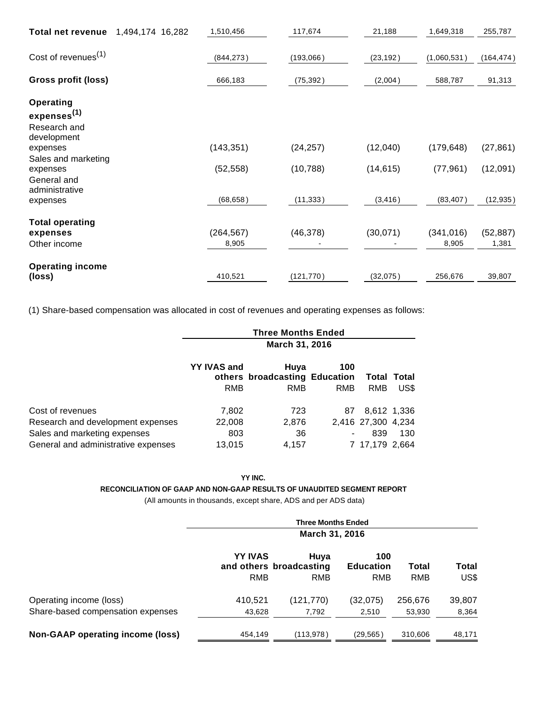| <b>Total net revenue</b>                                    | 1,494,174 16,282 | 1,510,456  | 117,674    | 21,188    | 1,649,318   | 255,787    |
|-------------------------------------------------------------|------------------|------------|------------|-----------|-------------|------------|
| Cost of revenues <sup>(1)</sup>                             |                  | (844, 273) | (193,066)  | (23, 192) | (1,060,531) | (164, 474) |
| Gross profit (loss)                                         |                  | 666,183    | (75, 392)  | (2,004)   | 588,787     | 91,313     |
| <b>Operating</b><br>expenses <sup>(1)</sup><br>Research and |                  |            |            |           |             |            |
| development<br>expenses                                     |                  | (143, 351) | (24, 257)  | (12,040)  | (179, 648)  | (27, 861)  |
| Sales and marketing<br>expenses                             |                  | (52, 558)  | (10, 788)  | (14, 615) | (77, 961)   | (12,091)   |
| General and<br>administrative                               |                  |            |            |           |             |            |
| expenses                                                    |                  | (68, 658)  | (11, 333)  | (3, 416)  | (83, 407)   | (12, 935)  |
| <b>Total operating</b>                                      |                  |            |            |           |             |            |
| expenses                                                    |                  | (264, 567) | (46, 378)  | (30,071)  | (341, 016)  | (52, 887)  |
| Other income                                                |                  | 8,905      |            |           | 8,905       | 1,381      |
| <b>Operating income</b>                                     |                  |            |            |           |             |            |
| (loss)                                                      |                  | 410,521    | (121, 770) | (32,075)  | 256,676     | 39,807     |

(1) Share-based compensation was allocated in cost of revenues and operating expenses as follows:

|                                     | <b>Three Months Ended</b> |                                       |            |                    |                    |  |  |  |
|-------------------------------------|---------------------------|---------------------------------------|------------|--------------------|--------------------|--|--|--|
|                                     | <b>March 31, 2016</b>     |                                       |            |                    |                    |  |  |  |
|                                     | YY IVAS and               | Huya<br>others broadcasting Education | 100        |                    | <b>Total Total</b> |  |  |  |
|                                     | <b>RMB</b>                | RMB                                   | <b>RMB</b> | <b>RMB</b>         | US\$               |  |  |  |
| Cost of revenues                    | 7,802                     | 723                                   | 87         | 8,612 1,336        |                    |  |  |  |
| Research and development expenses   | 22,008                    | 2,876                                 |            | 2,416 27,300 4,234 |                    |  |  |  |
| Sales and marketing expenses        | 803                       | 36                                    |            | 839                | 130                |  |  |  |
| General and administrative expenses | 13,015                    | 4.157                                 |            | 7 17,179 2,664     |                    |  |  |  |

### **YY INC.**

# **RECONCILIATION OF GAAP AND NON-GAAP RESULTS OF UNAUDITED SEGMENT REPORT**

|                                                              | <b>Three Months Ended</b><br>March 31, 2016 |                                        |                                |                            |                 |
|--------------------------------------------------------------|---------------------------------------------|----------------------------------------|--------------------------------|----------------------------|-----------------|
|                                                              | <b>YY IVAS</b><br>RMB                       | Huya<br>and others broadcasting<br>RMB | 100<br><b>Education</b><br>RMB | <b>Total</b><br><b>RMB</b> | Total<br>US\$   |
| Operating income (loss)<br>Share-based compensation expenses | 410,521<br>43,628                           | (121, 770)<br>7,792                    | (32,075)<br>2,510              | 256,676<br>53,930          | 39,807<br>8,364 |
| <b>Non-GAAP operating income (loss)</b>                      | 454.149                                     | (113,978)                              | (29, 565)                      | 310,606                    | 48,171          |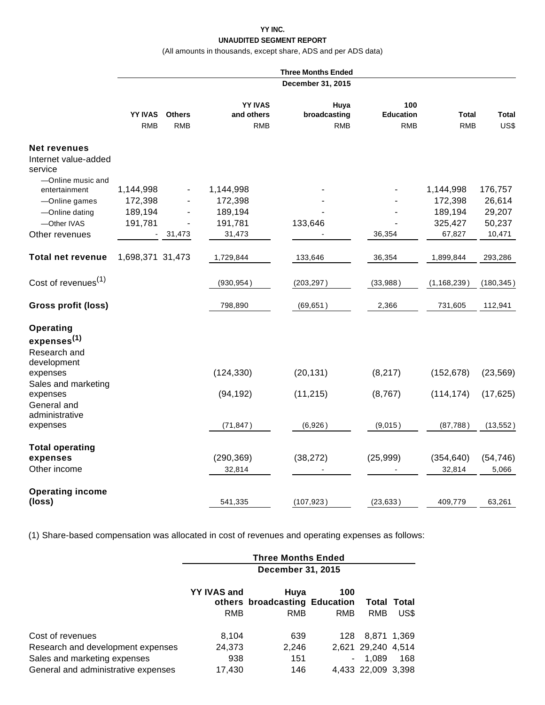# **YY INC. UNAUDITED SEGMENT REPORT**

(All amounts in thousands, except share, ADS and per ADS data)

|                                                                     |                              |                             |                                            | <b>Three Months Ended</b>          |                                       |                            |                      |
|---------------------------------------------------------------------|------------------------------|-----------------------------|--------------------------------------------|------------------------------------|---------------------------------------|----------------------------|----------------------|
|                                                                     |                              |                             |                                            | December 31, 2015                  |                                       |                            |                      |
|                                                                     | <b>YY IVAS</b><br><b>RMB</b> | <b>Others</b><br><b>RMB</b> | <b>YY IVAS</b><br>and others<br><b>RMB</b> | Huya<br>broadcasting<br><b>RMB</b> | 100<br><b>Education</b><br><b>RMB</b> | <b>Total</b><br><b>RMB</b> | <b>Total</b><br>US\$ |
| <b>Net revenues</b><br>Internet value-added<br>service              |                              |                             |                                            |                                    |                                       |                            |                      |
| -Online music and                                                   |                              |                             | 1,144,998                                  |                                    |                                       | 1,144,998                  | 176,757              |
| entertainment<br>-Online games                                      | 1,144,998<br>172,398         |                             | 172,398                                    |                                    |                                       | 172,398                    | 26,614               |
| -Online dating                                                      | 189,194                      |                             | 189,194                                    |                                    |                                       | 189,194                    | 29,207               |
| -Other IVAS                                                         | 191,781                      |                             | 191,781                                    | 133,646                            |                                       | 325,427                    | 50,237               |
| Other revenues                                                      | $\overline{a}$               | 31,473                      | 31,473                                     |                                    | 36,354                                | 67,827                     | 10,471               |
| <b>Total net revenue</b>                                            | 1,698,371 31,473             |                             | 1,729,844                                  | 133,646                            | 36,354                                | 1,899,844                  | 293,286              |
| Cost of revenues <sup>(1)</sup>                                     |                              |                             | (930, 954)                                 | (203, 297)                         | (33,988)                              | (1, 168, 239)              | (180, 345)           |
| <b>Gross profit (loss)</b>                                          |                              |                             | 798,890                                    | (69, 651)                          | 2,366                                 | 731,605                    | 112,941              |
| Operating<br>expenses <sup>(1)</sup><br>Research and<br>development |                              |                             |                                            |                                    |                                       |                            |                      |
| expenses                                                            |                              |                             | (124, 330)                                 | (20, 131)                          | (8, 217)                              | (152, 678)                 | (23, 569)            |
| Sales and marketing<br>expenses<br>General and<br>administrative    |                              |                             | (94, 192)                                  | (11, 215)                          | (8, 767)                              | (114, 174)                 | (17, 625)            |
| expenses                                                            |                              |                             | (71, 847)                                  | (6,926)                            | (9,015)                               | (87, 788)                  | (13, 552)            |
| <b>Total operating</b><br>expenses<br>Other income                  |                              |                             | (290, 369)<br>32,814                       | (38, 272)                          | (25,999)                              | (354, 640)<br>32,814       | (54, 746)<br>5,066   |
| <b>Operating income</b><br>(loss)                                   |                              |                             | 541,335                                    | (107, 923)                         | (23, 633)                             | 409,779                    | 63,261               |

(1) Share-based compensation was allocated in cost of revenues and operating expenses as follows:

|                                     | <b>Three Months Ended</b> |                                       |            |                    |  |  |  |
|-------------------------------------|---------------------------|---------------------------------------|------------|--------------------|--|--|--|
|                                     | <b>December 31, 2015</b>  |                                       |            |                    |  |  |  |
|                                     | YY IVAS and               | Huya<br>others broadcasting Education | 100        | <b>Total Total</b> |  |  |  |
|                                     | <b>RMB</b>                | <b>RMB</b>                            | <b>RMB</b> | US\$<br><b>RMB</b> |  |  |  |
| Cost of revenues                    | 8,104                     | 639                                   | 128        | 8,871 1,369        |  |  |  |
| Research and development expenses   | 24,373                    | 2,246                                 |            | 2,621 29,240 4,514 |  |  |  |
| Sales and marketing expenses        | 938                       | 151                                   | $\sim$     | 168<br>1.089       |  |  |  |
| General and administrative expenses | 17,430                    | 146                                   |            | 4,433 22,009 3,398 |  |  |  |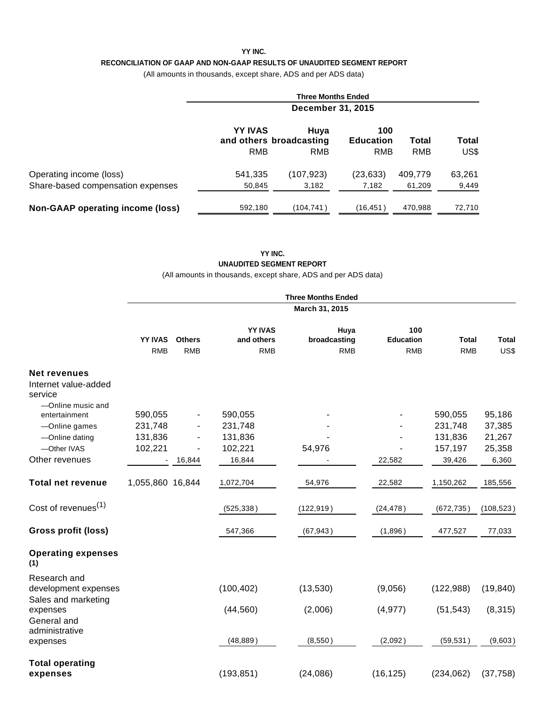### **YY INC.**

# **RECONCILIATION OF GAAP AND NON-GAAP RESULTS OF UNAUDITED SEGMENT REPORT**

(All amounts in thousands, except share, ADS and per ADS data)

|                                                              | <b>Three Months Ended</b><br><b>December 31, 2015</b> |                                               |                                       |                            |                      |  |
|--------------------------------------------------------------|-------------------------------------------------------|-----------------------------------------------|---------------------------------------|----------------------------|----------------------|--|
|                                                              | <b>YY IVAS</b><br>RMB                                 | Huya<br>and others broadcasting<br><b>RMB</b> | 100<br><b>Education</b><br><b>RMB</b> | <b>Total</b><br><b>RMB</b> | <b>Total</b><br>US\$ |  |
| Operating income (loss)<br>Share-based compensation expenses | 541,335<br>50,845                                     | (107, 923)<br>3,182                           | (23, 633)<br>7,182                    | 409,779<br>61,209          | 63,261<br>9,449      |  |
| <b>Non-GAAP operating income (loss)</b>                      | 592,180                                               | (104,741)                                     | (16, 451)                             | 470,988                    | 72,710               |  |

# **YY INC. UNAUDITED SEGMENT REPORT**

|                                                        | <b>Three Months Ended</b><br>March 31, 2015 |                             |                                            |                                    |                                       |                            |                      |  |
|--------------------------------------------------------|---------------------------------------------|-----------------------------|--------------------------------------------|------------------------------------|---------------------------------------|----------------------------|----------------------|--|
|                                                        | <b>YY IVAS</b><br><b>RMB</b>                | <b>Others</b><br><b>RMB</b> | <b>YY IVAS</b><br>and others<br><b>RMB</b> | Huya<br>broadcasting<br><b>RMB</b> | 100<br><b>Education</b><br><b>RMB</b> | <b>Total</b><br><b>RMB</b> | <b>Total</b><br>US\$ |  |
| <b>Net revenues</b><br>Internet value-added<br>service |                                             |                             |                                            |                                    |                                       |                            |                      |  |
| -Online music and                                      | 590,055                                     |                             | 590,055                                    |                                    |                                       | 590,055                    | 95,186               |  |
| entertainment<br>-Online games                         | 231,748                                     |                             | 231,748                                    |                                    |                                       | 231,748                    | 37,385               |  |
| -Online dating                                         | 131,836                                     |                             | 131,836                                    |                                    |                                       | 131,836                    | 21,267               |  |
| -Other IVAS                                            | 102,221                                     | $\overline{\phantom{m}}$    | 102,221                                    | 54,976                             |                                       | 157,197                    | 25,358               |  |
| Other revenues                                         |                                             | 16,844                      | 16,844                                     |                                    | 22,582                                | 39,426                     | 6,360                |  |
| <b>Total net revenue</b>                               | 1,055,860 16,844                            |                             | 1,072,704                                  | 54,976                             | 22,582                                | 1,150,262                  | 185,556              |  |
| Cost of revenues <sup>(1)</sup>                        |                                             |                             | (525, 338)                                 | (122, 919)                         | (24, 478)                             | (672, 735)                 | (108, 523)           |  |
| Gross profit (loss)                                    |                                             |                             | 547,366                                    | (67, 943)                          | (1,896)                               | 477,527                    | 77,033               |  |
| <b>Operating expenses</b><br>(1)                       |                                             |                             |                                            |                                    |                                       |                            |                      |  |
| Research and<br>development expenses                   |                                             |                             | (100, 402)                                 | (13,530)                           | (9,056)                               | (122, 988)                 | (19, 840)            |  |
| Sales and marketing<br>expenses<br>General and         |                                             |                             | (44, 560)                                  | (2,006)                            | (4, 977)                              | (51, 543)                  | (8,315)              |  |
| administrative<br>expenses                             |                                             |                             | (48, 889)                                  | (8,550)                            | (2,092)                               | (59, 531)                  | (9,603)              |  |
| <b>Total operating</b><br>expenses                     |                                             |                             | (193, 851)                                 | (24, 086)                          | (16, 125)                             | (234, 062)                 | (37, 758)            |  |